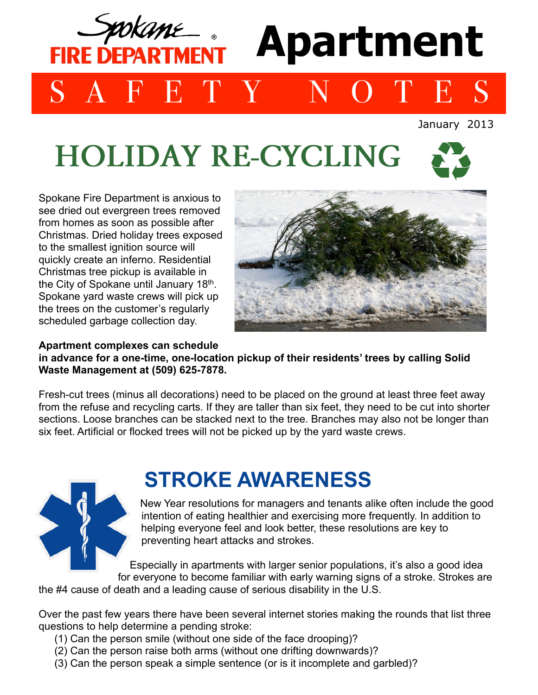

# **HOLIDAY RE-CYCLING**



Spokane Fire Department is anxious to see dried out evergreen trees removed from homes as soon as possible after Christmas. Dried holiday trees exposed to the smallest ignition source will quickly create an inferno. Residential Christmas tree pickup is available in the City of Spokane until January 18th. Spokane yard waste crews will pick up the trees on the customer's regularly scheduled garbage collection day.



**Apartment complexes can schedule in advance for a one-time, one-location pickup of their residents' trees by calling Solid Waste Management at (509) 625-7878.**

Fresh-cut trees (minus all decorations) need to be placed on the ground at least three feet away from the refuse and recycling carts. If they are taller than six feet, they need to be cut into shorter sections. Loose branches can be stacked next to the tree. Branches may also not be longer than six feet. Artificial or flocked trees will not be picked up by the yard waste crews.



## **STROKE AWARENESS**

New Year resolutions for managers and tenants alike often include the good intention of eating healthier and exercising more frequently. In addition to helping everyone feel and look better, these resolutions are key to preventing heart attacks and strokes.

Especially in apartments with larger senior populations, it's also a good idea for everyone to become familiar with early warning signs of a stroke. Strokes are

the #4 cause of death and a leading cause of serious disability in the U.S.

Over the past few years there have been several internet stories making the rounds that list three questions to help determine a pending stroke:

- (1) Can the person smile (without one side of the face drooping)?
- (2) Can the person raise both arms (without one drifting downwards)?
- (3) Can the person speak a simple sentence (or is it incomplete and garbled)?